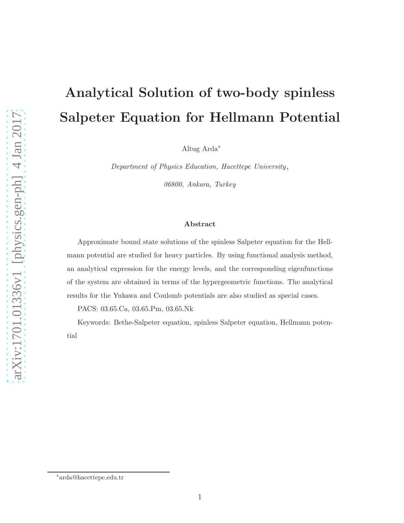# Analytical Solution of two-body spinless Salpeter Equation for Hellmann Potential

Altug Arda<sup>∗</sup>

Department of Physics Education, Hacettepe University,

06800, Ankara, Turkey

#### Abstract

Approximate bound state solutions of the spinless Salpeter equation for the Hellmann potential are studied for heavy particles. By using functional analysis method, an analytical expression for the energy levels, and the corresponding eigenfunctions of the system are obtained in terms of the hypergeometric functions. The analytical results for the Yukawa and Coulomb potentials are also studied as special cases.

PACS: 03.65.Ca, 03.65.Pm, 03.65.Nk

Keywords: Bethe-Salpeter equation, spinless Salpeter equation, Hellmann potential

<sup>∗</sup>arda@hacettepe.edu.tr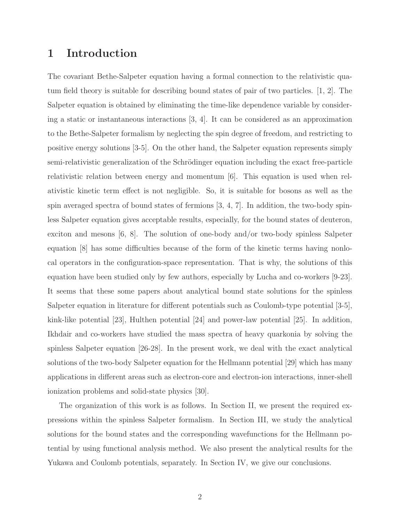#### 1 Introduction

The covariant Bethe-Salpeter equation having a formal connection to the relativistic quatum field theory is suitable for describing bound states of pair of two particles. [1, 2]. The Salpeter equation is obtained by eliminating the time-like dependence variable by considering a static or instantaneous interactions [3, 4]. It can be considered as an approximation to the Bethe-Salpeter formalism by neglecting the spin degree of freedom, and restricting to positive energy solutions [3-5]. On the other hand, the Salpeter equation represents simply semi-relativistic generalization of the Schrödinger equation including the exact free-particle relativistic relation between energy and momentum [6]. This equation is used when relativistic kinetic term effect is not negligible. So, it is suitable for bosons as well as the spin averaged spectra of bound states of fermions  $[3, 4, 7]$ . In addition, the two-body spinless Salpeter equation gives acceptable results, especially, for the bound states of deuteron, exciton and mesons [6, 8]. The solution of one-body and/or two-body spinless Salpeter equation [8] has some difficulties because of the form of the kinetic terms having nonlocal operators in the configuration-space representation. That is why, the solutions of this equation have been studied only by few authors, especially by Lucha and co-workers [9-23]. It seems that these some papers about analytical bound state solutions for the spinless Salpeter equation in literature for different potentials such as Coulomb-type potential [3-5], kink-like potential [23], Hulthen potential [24] and power-law potential [25]. In addition, Ikhdair and co-workers have studied the mass spectra of heavy quarkonia by solving the spinless Salpeter equation [26-28]. In the present work, we deal with the exact analytical solutions of the two-body Salpeter equation for the Hellmann potential [29] which has many applications in different areas such as electron-core and electron-ion interactions, inner-shell ionization problems and solid-state physics [30].

The organization of this work is as follows. In Section II, we present the required expressions within the spinless Salpeter formalism. In Section III, we study the analytical solutions for the bound states and the corresponding wavefunctions for the Hellmann potential by using functional analysis method. We also present the analytical results for the Yukawa and Coulomb potentials, separately. In Section IV, we give our conclusions.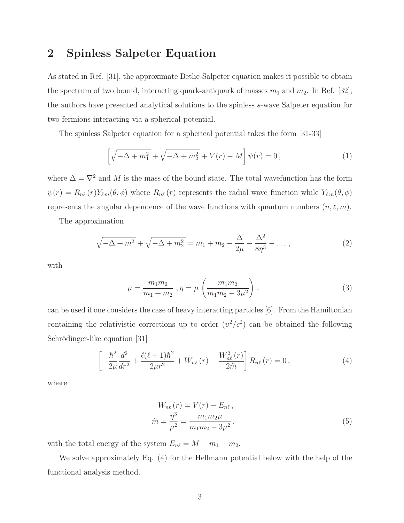#### 2 Spinless Salpeter Equation

As stated in Ref. [31], the approximate Bethe-Salpeter equation makes it possible to obtain the spectrum of two bound, interacting quark-antiquark of masses  $m_1$  and  $m_2$ . In Ref. [32], the authors have presented analytical solutions to the spinless s-wave Salpeter equation for two fermions interacting via a spherical potential.

The spinless Salpeter equation for a spherical potential takes the form [31-33]

$$
\[ \sqrt{-\Delta + m_1^2} + \sqrt{-\Delta + m_2^2} + V(r) - M \] \psi(r) = 0 \,, \tag{1}
$$

where  $\Delta = \nabla^2$  and M is the mass of the bound state. The total wavefunction has the form  $\psi(r) = R_{n\ell}(r)Y_{\ell m}(\theta, \phi)$  where  $R_{n\ell}(r)$  represents the radial wave function while  $Y_{\ell m}(\theta, \phi)$ represents the angular dependence of the wave functions with quantum numbers  $(n, \ell, m)$ .

The approximation

$$
\sqrt{-\Delta + m_1^2} + \sqrt{-\Delta + m_2^2} = m_1 + m_2 - \frac{\Delta}{2\mu} - \frac{\Delta^2}{8\eta^3} - \dots,
$$
\n(2)

with

$$
\mu = \frac{m_1 m_2}{m_1 + m_2} ; \eta = \mu \left( \frac{m_1 m_2}{m_1 m_2 - 3\mu^2} \right) . \tag{3}
$$

can be used if one considers the case of heavy interacting particles [6]. From the Hamiltonian containing the relativistic corrections up to order  $(v^2/c^2)$  can be obtained the following Schrödinger-like equation [31]

$$
\left[ -\frac{\hbar^2}{2\mu} \frac{d^2}{dr^2} + \frac{\ell(\ell+1)\hbar^2}{2\mu r^2} + W_{n\ell}(r) - \frac{W_{n\ell}^2(r)}{2\tilde{m}} \right] R_{n\ell}(r) = 0, \tag{4}
$$

where

$$
W_{n\ell}(r) = V(r) - E_{n\ell},
$$
  
\n
$$
\tilde{m} = \frac{\eta^3}{\mu^2} = \frac{m_1 m_2 \mu}{m_1 m_2 - 3\mu^2},
$$
\n(5)

with the total energy of the system  $E_{n\ell} = M - m_1 - m_2$ .

We solve approximately Eq. (4) for the Hellmann potential below with the help of the functional analysis method.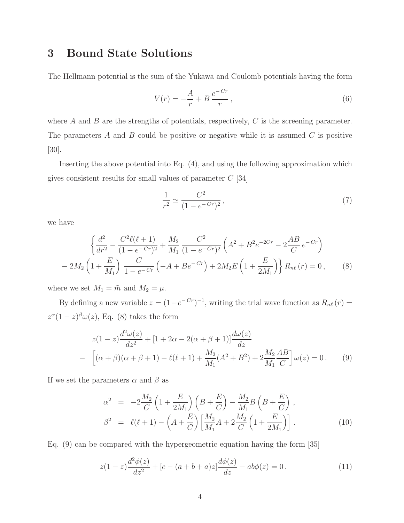## 3 Bound State Solutions

The Hellmann potential is the sum of the Yukawa and Coulomb potentials having the form

$$
V(r) = -\frac{A}{r} + B \frac{e^{-Cr}}{r},\qquad(6)
$$

where  $A$  and  $B$  are the strengths of potentials, respectively,  $C$  is the screening parameter. The parameters  $A$  and  $B$  could be positive or negative while it is assumed  $C$  is positive [30].

Inserting the above potential into Eq. (4), and using the following approximation which gives consistent results for small values of parameter  $C$  [34]

$$
\frac{1}{r^2} \simeq \frac{C^2}{(1 - e^{-Cr})^2},\tag{7}
$$

we have

$$
\left\{\frac{d^2}{dr^2} - \frac{C^2\ell(\ell+1)}{(1 - e^{-Cr})^2} + \frac{M_2}{M_1} \frac{C^2}{(1 - e^{-Cr})^2} \left(A^2 + B^2 e^{-2Cr} - 2\frac{AB}{C}e^{-Cr}\right) - 2M_2\left(1 + \frac{E}{M_1}\right) \frac{C}{1 - e^{-Cr}} \left(-A + Be^{-Cr}\right) + 2M_2E\left(1 + \frac{E}{2M_1}\right)\right\} R_{n\ell}(r) = 0, \quad (8)
$$

where we set  $M_1 = \tilde{m}$  and  $M_2 = \mu$ .

By defining a new variable  $z = (1 - e^{-Cr})^{-1}$ , writing the trial wave function as  $R_{n\ell}(r) =$  $z^{\alpha}(1-z)^{\beta}\omega(z)$ , Eq. (8) takes the form

$$
z(1-z)\frac{d^2\omega(z)}{dz^2} + [1+2\alpha - 2(\alpha + \beta + 1)]\frac{d\omega(z)}{dz}
$$
  
– 
$$
\left[ (\alpha + \beta)(\alpha + \beta + 1) - \ell(\ell + 1) + \frac{M_2}{M_1}(A^2 + B^2) + 2\frac{M_2}{M_1}\frac{AB}{C} \right]\omega(z) = 0.
$$
 (9)

If we set the parameters  $\alpha$  and  $\beta$  as

$$
\alpha^2 = -2\frac{M_2}{C}\left(1 + \frac{E}{2M_1}\right)\left(B + \frac{E}{C}\right) - \frac{M_2}{M_1}B\left(B + \frac{E}{C}\right),
$$
  

$$
\beta^2 = \ell(\ell+1) - \left(A + \frac{E}{C}\right)\left[\frac{M_2}{M_1}A + 2\frac{M_2}{C}\left(1 + \frac{E}{2M_1}\right)\right].
$$
 (10)

Eq. (9) can be compared with the hypergeometric equation having the form [35]

$$
z(1-z)\frac{d^2\phi(z)}{dz^2} + [c - (a+b+a)z] \frac{d\phi(z)}{dz} - ab\phi(z) = 0.
$$
 (11)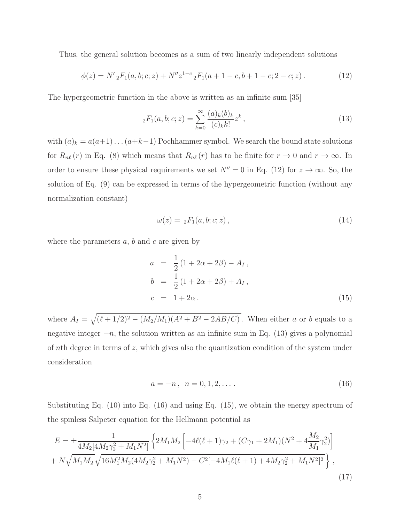Thus, the general solution becomes as a sum of two linearly independent solutions

$$
\phi(z) = N' {}_{2}F_{1}(a, b; c; z) + N'' z^{1-c} {}_{2}F_{1}(a+1-c, b+1-c; 2-c; z).
$$
 (12)

The hypergeometric function in the above is written as an infinite sum [35]

$$
{}_2F_1(a,b;c;z) = \sum_{k=0}^{\infty} \frac{(a)_k (b)_k}{(c)_k k!} z^k , \qquad (13)
$$

with  $(a)_k = a(a+1)...(a+k-1)$  Pochhammer symbol. We search the bound state solutions for  $R_{n\ell}(r)$  in Eq. (8) which means that  $R_{n\ell}(r)$  has to be finite for  $r \to 0$  and  $r \to \infty$ . In order to ensure these physical requirements we set  $N'' = 0$  in Eq. (12) for  $z \to \infty$ . So, the solution of Eq. (9) can be expressed in terms of the hypergeometric function (without any normalization constant)

$$
\omega(z) = {}_2F_1(a, b; c; z), \qquad (14)
$$

where the parameters  $a, b$  and  $c$  are given by

$$
a = \frac{1}{2} (1 + 2\alpha + 2\beta) - A_I,
$$
  
\n
$$
b = \frac{1}{2} (1 + 2\alpha + 2\beta) + A_I,
$$
  
\n
$$
c = 1 + 2\alpha.
$$
\n(15)

where  $A_{I} = \sqrt{(\ell + 1/2)^{2} - (M_{2}/M_{1})(A^{2} + B^{2} - 2AB/C)}$ . When either a or b equals to a negative integer  $-n$ , the solution written as an infinite sum in Eq. (13) gives a polynomial of nth degree in terms of z, which gives also the quantization condition of the system under consideration

$$
a = -n, \ \ n = 0, 1, 2, \dots \tag{16}
$$

Substituting Eq. (10) into Eq. (16) and using Eq. (15), we obtain the energy spectrum of the spinless Salpeter equation for the Hellmann potential as

$$
E = \pm \frac{1}{4M_2[4M_2\gamma_2^2 + M_1N^2]} \left\{ 2M_1M_2 \left[ -4\ell(\ell+1)\gamma_2 + (C\gamma_1 + 2M_1)(N^2 + 4\frac{M_2}{M_1}\gamma_2^2) \right] + N\sqrt{M_1M_2}\sqrt{16M_1^2M_2(4M_2\gamma_2^2 + M_1N^2)} - C^2[-4M_1\ell(\ell+1) + 4M_2\gamma_2^2 + M_1N^2]^2 \right\},
$$
\n(17)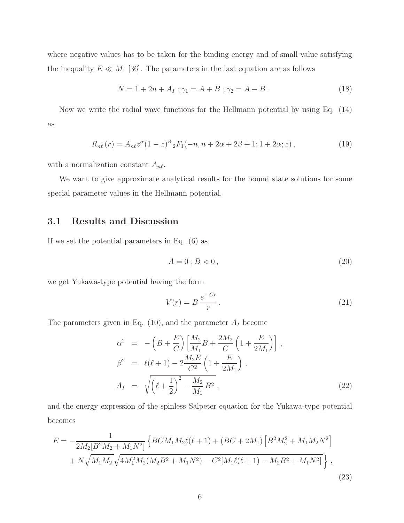where negative values has to be taken for the binding energy and of small value satisfying the inequality  $E \ll M_1$  [36]. The parameters in the last equation are as follows

$$
N = 1 + 2n + A_I ; \gamma_1 = A + B ; \gamma_2 = A - B . \tag{18}
$$

Now we write the radial wave functions for the Hellmann potential by using Eq. (14) as

$$
R_{n\ell}(r) = A_{n\ell} z^{\alpha} (1-z)^{\beta} {}_{2}F_{1}(-n, n+2\alpha+2\beta+1; 1+2\alpha; z), \qquad (19)
$$

with a normalization constant  $A_{n\ell}$ .

We want to give approximate analytical results for the bound state solutions for some special parameter values in the Hellmann potential.

#### 3.1 Results and Discussion

If we set the potential parameters in Eq. (6) as

$$
A = 0 \; ; B < 0 \,, \tag{20}
$$

we get Yukawa-type potential having the form

$$
V(r) = B \frac{e^{-Cr}}{r}.
$$
\n(21)

The parameters given in Eq.  $(10)$ , and the parameter  $A_I$  become

$$
\alpha^{2} = -\left(B + \frac{E}{C}\right) \left[\frac{M_{2}}{M_{1}}B + \frac{2M_{2}}{C}\left(1 + \frac{E}{2M_{1}}\right)\right],
$$
\n
$$
\beta^{2} = \ell(\ell + 1) - 2\frac{M_{2}E}{C^{2}}\left(1 + \frac{E}{2M_{1}}\right),
$$
\n
$$
A_{I} = \sqrt{\left(\ell + \frac{1}{2}\right)^{2} - \frac{M_{2}}{M_{1}}B^{2}},
$$
\n(22)

and the energy expression of the spinless Salpeter equation for the Yukawa-type potential becomes

$$
E = -\frac{1}{2M_2[B^2M_2 + M_1N^2]} \left\{ BCM_1M_2\ell(\ell+1) + (BC + 2M_1) \left[ B^2M_2^2 + M_1M_2N^2 \right] + N\sqrt{M_1M_2}\sqrt{4M_1^2M_2(M_2B^2 + M_1N^2)} - C^2[M_1\ell(\ell+1) - M_2B^2 + M_1N^2] \right\},
$$
\n(23)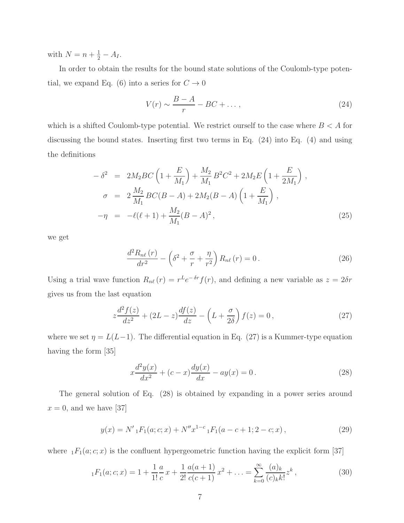with  $N = n + \frac{1}{2} - A_I$ .

In order to obtain the results for the bound state solutions of the Coulomb-type potential, we expand Eq. (6) into a series for  $C \to 0$ 

$$
V(r) \sim \frac{B-A}{r} - BC + \dots,\tag{24}
$$

which is a shifted Coulomb-type potential. We restrict ourself to the case where  $B < A$  for discussing the bound states. Inserting first two terms in Eq. (24) into Eq. (4) and using the definitions

$$
-\delta^2 = 2M_2 BC \left( 1 + \frac{E}{M_1} \right) + \frac{M_2}{M_1} B^2 C^2 + 2M_2 E \left( 1 + \frac{E}{2M_1} \right),
$$
  
\n
$$
\sigma = 2 \frac{M_2}{M_1} BC(B - A) + 2M_2 (B - A) \left( 1 + \frac{E}{M_1} \right),
$$
  
\n
$$
-\eta = -\ell(\ell + 1) + \frac{M_2}{M_1} (B - A)^2,
$$
\n(25)

we get

$$
\frac{d^2 R_{n\ell}(r)}{dr^2} - \left(\delta^2 + \frac{\sigma}{r} + \frac{\eta}{r^2}\right) R_{n\ell}(r) = 0.
$$
\n(26)

Using a trial wave function  $R_{n\ell}(r) = r^L e^{-\delta r} f(r)$ , and defining a new variable as  $z = 2\delta r$ gives us from the last equation

$$
z\frac{d^2f(z)}{dz^2} + (2L-z)\frac{df(z)}{dz} - \left(L+\frac{\sigma}{2\delta}\right)f(z) = 0\,,\tag{27}
$$

where we set  $\eta = L(L-1)$ . The differential equation in Eq. (27) is a Kummer-type equation having the form [35]

$$
x\frac{d^2y(x)}{dx^2} + (c-x)\frac{dy(x)}{dx} - ay(x) = 0.
$$
 (28)

The general solution of Eq. (28) is obtained by expanding in a power series around  $x = 0$ , and we have [37]

$$
y(x) = N' {}_1F_1(a; c; x) + N'' x^{1-c} {}_1F_1(a-c+1; 2-c; x), \qquad (29)
$$

where  $_1F_1(a; c; x)$  is the confluent hypergeometric function having the explicit form [37]

$$
{}_{1}F_{1}(a;c;x) = 1 + \frac{1}{1!} \frac{a}{c} x + \frac{1}{2!} \frac{a(a+1)}{c(c+1)} x^{2} + \dots = \sum_{k=0}^{\infty} \frac{(a)_{k}}{(c)_{k} k!} z^{k},
$$
\n(30)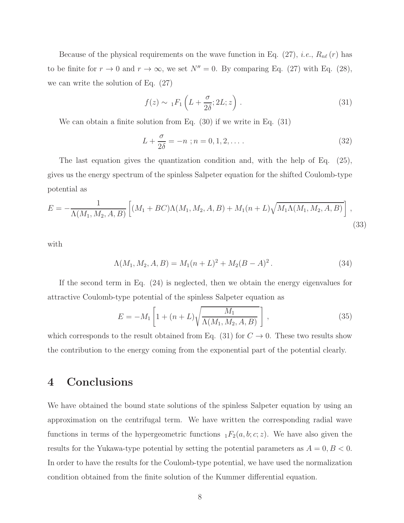Because of the physical requirements on the wave function in Eq.  $(27)$ , *i.e.*,  $R_{n\ell}(r)$  has to be finite for  $r \to 0$  and  $r \to \infty$ , we set  $N'' = 0$ . By comparing Eq. (27) with Eq. (28), we can write the solution of Eq. (27)

$$
f(z) \sim {}_1F_1\left(L + \frac{\sigma}{2\delta}; 2L; z\right). \tag{31}
$$

We can obtain a finite solution from Eq. (30) if we write in Eq. (31)

$$
L + \frac{\sigma}{2\delta} = -n \; ; n = 0, 1, 2, \dots \,. \tag{32}
$$

The last equation gives the quantization condition and, with the help of Eq. (25), gives us the energy spectrum of the spinless Salpeter equation for the shifted Coulomb-type potential as

$$
E = -\frac{1}{\Lambda(M_1, M_2, A, B)} \left[ (M_1 + BC)\Lambda(M_1, M_2, A, B) + M_1(n + L)\sqrt{M_1\Lambda(M_1, M_2, A, B)} \right],
$$
\n(33)

with

$$
\Lambda(M_1, M_2, A, B) = M_1(n+L)^2 + M_2(B-A)^2.
$$
\n(34)

If the second term in Eq. (24) is neglected, then we obtain the energy eigenvalues for attractive Coulomb-type potential of the spinless Salpeter equation as

$$
E = -M_1 \left[ 1 + (n+L) \sqrt{\frac{M_1}{\Lambda(M_1, M_2, A, B)}} \right],
$$
\n(35)

which corresponds to the result obtained from Eq. (31) for  $C \rightarrow 0$ . These two results show the contribution to the energy coming from the exponential part of the potential clearly.

#### 4 Conclusions

We have obtained the bound state solutions of the spinless Salpeter equation by using an approximation on the centrifugal term. We have written the corresponding radial wave functions in terms of the hypergeometric functions  $_1F_2(a, b; c; z)$ . We have also given the results for the Yukawa-type potential by setting the potential parameters as  $A = 0, B < 0$ . In order to have the results for the Coulomb-type potential, we have used the normalization condition obtained from the finite solution of the Kummer differential equation.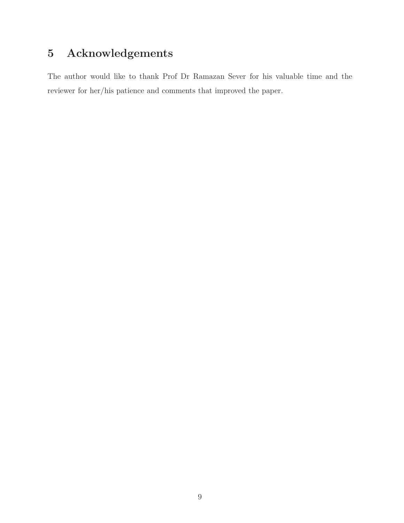## 5 Acknowledgements

The author would like to thank Prof Dr Ramazan Sever for his valuable time and the reviewer for her/his patience and comments that improved the paper.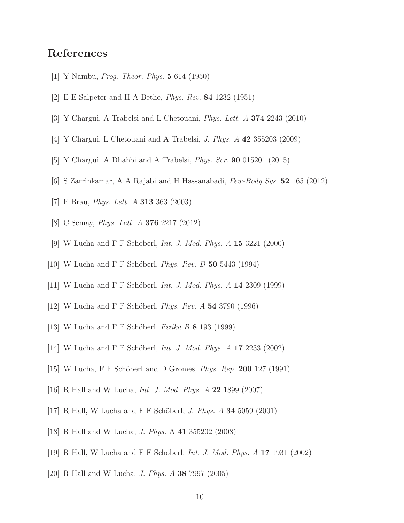### References

- [1] Y Nambu, Prog. Theor. Phys. 5 614 (1950)
- [2] E E Salpeter and H A Bethe, Phys. Rev. 84 1232 (1951)
- [3] Y Chargui, A Trabelsi and L Chetouani, Phys. Lett. A 374 2243 (2010)
- [4] Y Chargui, L Chetouani and A Trabelsi, J. Phys. A 42 355203 (2009)
- [5] Y Chargui, A Dhahbi and A Trabelsi, Phys. Scr. 90 015201 (2015)
- [6] S Zarrinkamar, A A Rajabi and H Hassanabadi, Few-Body Sys. 52 165 (2012)
- [7] F Brau, Phys. Lett. A 313 363 (2003)
- [8] C Semay, Phys. Lett. A 376 2217 (2012)
- [9] W Lucha and F F Schöberl, *Int. J. Mod. Phys. A* 15 3221 (2000)
- [10] W Lucha and F F Schöberl, *Phys. Rev. D* 50 5443 (1994)
- [11] W Lucha and F F Schöberl, *Int. J. Mod. Phys. A*  $14$  2309 (1999)
- [12] W Lucha and F F Schöberl, *Phys. Rev. A* 54 3790 (1996)
- [13] W Lucha and F F Schöberl, Fizika B  $\bf{8}$  193 (1999)
- [14] W Lucha and F F Schöberl, *Int. J. Mod. Phys. A*  $17\ 2233\ (2002)$
- $[15]$  W Lucha, F F Schöberl and D Gromes, *Phys. Rep.* 200 127 (1991)
- [16] R Hall and W Lucha, Int. J. Mod. Phys. A 22 1899 (2007)
- [17] R Hall, W Lucha and F F Schöberl, *J. Phys. A* 34 5059 (2001)
- [18] R Hall and W Lucha, J. Phys. A 41 355202 (2008)
- [19] R Hall, W Lucha and F F Schöberl, *Int. J. Mod. Phys. A* 17 1931 (2002)
- [20] R Hall and W Lucha, J. Phys. A 38 7997 (2005)